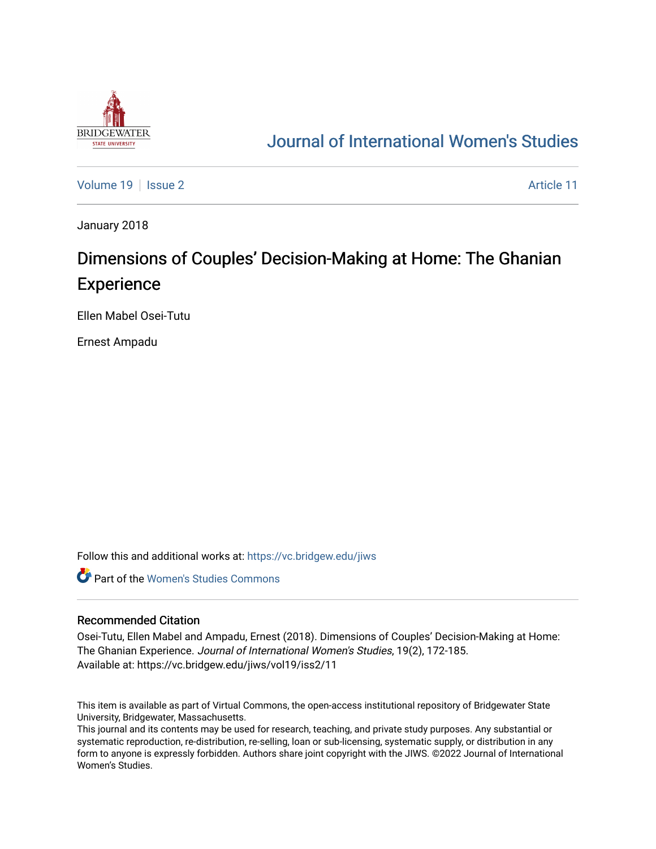

# [Journal of International Women's Studies](https://vc.bridgew.edu/jiws)

[Volume 19](https://vc.bridgew.edu/jiws/vol19) | [Issue 2](https://vc.bridgew.edu/jiws/vol19/iss2) Article 11

January 2018

# Dimensions of Couples' Decision-Making at Home: The Ghanian **Experience**

Ellen Mabel Osei-Tutu

Ernest Ampadu

Follow this and additional works at: [https://vc.bridgew.edu/jiws](https://vc.bridgew.edu/jiws?utm_source=vc.bridgew.edu%2Fjiws%2Fvol19%2Fiss2%2F11&utm_medium=PDF&utm_campaign=PDFCoverPages)

**C** Part of the Women's Studies Commons

#### Recommended Citation

Osei-Tutu, Ellen Mabel and Ampadu, Ernest (2018). Dimensions of Couples' Decision-Making at Home: The Ghanian Experience. Journal of International Women's Studies, 19(2), 172-185. Available at: https://vc.bridgew.edu/jiws/vol19/iss2/11

This item is available as part of Virtual Commons, the open-access institutional repository of Bridgewater State University, Bridgewater, Massachusetts.

This journal and its contents may be used for research, teaching, and private study purposes. Any substantial or systematic reproduction, re-distribution, re-selling, loan or sub-licensing, systematic supply, or distribution in any form to anyone is expressly forbidden. Authors share joint copyright with the JIWS. ©2022 Journal of International Women's Studies.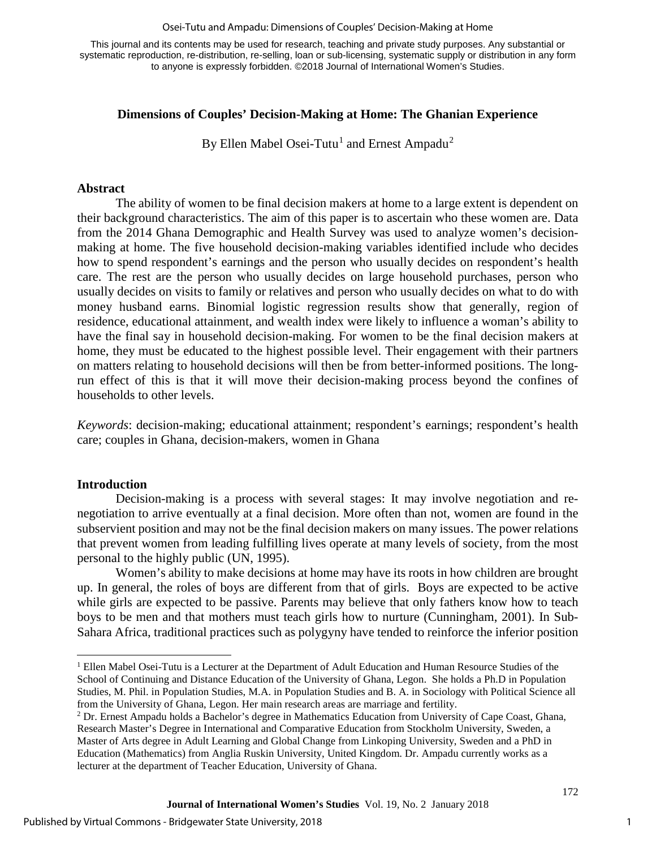#### Osei-Tutu and Ampadu: Dimensions of Couples' Decision-Making at Home

This journal and its contents may be used for research, teaching and private study purposes. Any substantial or systematic reproduction, re-distribution, re-selling, loan or sub-licensing, systematic supply or distribution in any form to anyone is expressly forbidden. ©2018 Journal of International Women's Studies.

## **Dimensions of Couples' Decision-Making at Home: The Ghanian Experience**

By Ellen Mabel Osei-Tutu<sup>[1](#page-1-0)</sup> and Ernest Ampadu<sup>[2](#page-1-1)</sup>

### **Abstract**

The ability of women to be final decision makers at home to a large extent is dependent on their background characteristics. The aim of this paper is to ascertain who these women are. Data from the 2014 Ghana Demographic and Health Survey was used to analyze women's decisionmaking at home. The five household decision-making variables identified include who decides how to spend respondent's earnings and the person who usually decides on respondent's health care. The rest are the person who usually decides on large household purchases, person who usually decides on visits to family or relatives and person who usually decides on what to do with money husband earns. Binomial logistic regression results show that generally, region of residence, educational attainment, and wealth index were likely to influence a woman's ability to have the final say in household decision-making. For women to be the final decision makers at home, they must be educated to the highest possible level. Their engagement with their partners on matters relating to household decisions will then be from better-informed positions. The longrun effect of this is that it will move their decision-making process beyond the confines of households to other levels.

*Keywords*: decision-making; educational attainment; respondent's earnings; respondent's health care; couples in Ghana, decision-makers, women in Ghana

#### **Introduction**

l

Decision-making is a process with several stages: It may involve negotiation and renegotiation to arrive eventually at a final decision. More often than not, women are found in the subservient position and may not be the final decision makers on many issues. The power relations that prevent women from leading fulfilling lives operate at many levels of society, from the most personal to the highly public (UN, 1995).

Women's ability to make decisions at home may have its roots in how children are brought up. In general, the roles of boys are different from that of girls. Boys are expected to be active while girls are expected to be passive. Parents may believe that only fathers know how to teach boys to be men and that mothers must teach girls how to nurture (Cunningham, 2001). In Sub-Sahara Africa, traditional practices such as polygyny have tended to reinforce the inferior position

<span id="page-1-0"></span><sup>&</sup>lt;sup>1</sup> Ellen Mabel Osei-Tutu is a Lecturer at the Department of Adult Education and Human Resource Studies of the School of Continuing and Distance Education of the University of Ghana, Legon. She holds a Ph.D in Population Studies, M. Phil. in Population Studies, M.A. in Population Studies and B. A. in Sociology with Political Science all from the University of Ghana, Legon. Her main research areas are marriage and fertility.

<span id="page-1-1"></span><sup>2</sup> Dr. Ernest Ampadu holds a Bachelor's degree in Mathematics Education from University of Cape Coast, Ghana, Research Master's Degree in International and Comparative Education from Stockholm University, Sweden, a Master of Arts degree in Adult Learning and Global Change from Linkoping University, Sweden and a PhD in Education (Mathematics) from Anglia Ruskin University, United Kingdom. Dr. Ampadu currently works as a lecturer at the department of Teacher Education, University of Ghana.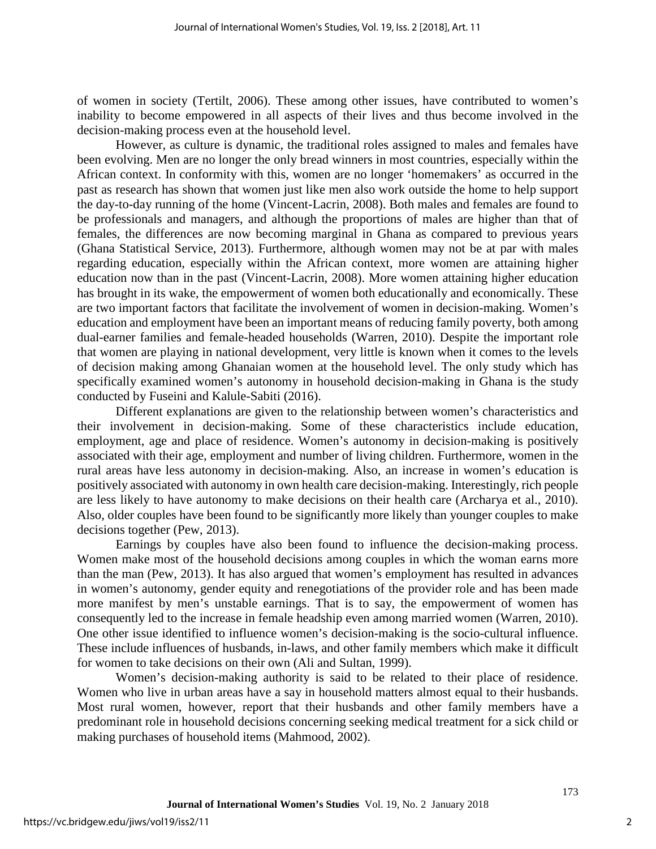of women in society (Tertilt, 2006). These among other issues, have contributed to women's inability to become empowered in all aspects of their lives and thus become involved in the decision-making process even at the household level.

However, as culture is dynamic, the traditional roles assigned to males and females have been evolving. Men are no longer the only bread winners in most countries, especially within the African context. In conformity with this, women are no longer 'homemakers' as occurred in the past as research has shown that women just like men also work outside the home to help support the day-to-day running of the home (Vincent-Lacrin, 2008). Both males and females are found to be professionals and managers, and although the proportions of males are higher than that of females, the differences are now becoming marginal in Ghana as compared to previous years (Ghana Statistical Service, 2013). Furthermore, although women may not be at par with males regarding education, especially within the African context, more women are attaining higher education now than in the past (Vincent-Lacrin, 2008). More women attaining higher education has brought in its wake, the empowerment of women both educationally and economically. These are two important factors that facilitate the involvement of women in decision-making. Women's education and employment have been an important means of reducing family poverty, both among dual-earner families and female-headed households (Warren, 2010). Despite the important role that women are playing in national development, very little is known when it comes to the levels of decision making among Ghanaian women at the household level. The only study which has specifically examined women's autonomy in household decision-making in Ghana is the study conducted by Fuseini and Kalule-Sabiti (2016).

Different explanations are given to the relationship between women's characteristics and their involvement in decision-making. Some of these characteristics include education, employment, age and place of residence. Women's autonomy in decision-making is positively associated with their age, employment and number of living children. Furthermore, women in the rural areas have less autonomy in decision-making. Also, an increase in women's education is positively associated with autonomy in own health care decision-making. Interestingly, rich people are less likely to have autonomy to make decisions on their health care (Archarya et al., 2010). Also, older couples have been found to be significantly more likely than younger couples to make decisions together (Pew, 2013).

Earnings by couples have also been found to influence the decision-making process. Women make most of the household decisions among couples in which the woman earns more than the man (Pew, 2013). It has also argued that women's employment has resulted in advances in women's autonomy, gender equity and renegotiations of the provider role and has been made more manifest by men's unstable earnings. That is to say, the empowerment of women has consequently led to the increase in female headship even among married women (Warren, 2010). One other issue identified to influence women's decision-making is the socio-cultural influence. These include influences of husbands, in-laws, and other family members which make it difficult for women to take decisions on their own (Ali and Sultan, 1999).

Women's decision-making authority is said to be related to their place of residence. Women who live in urban areas have a say in household matters almost equal to their husbands. Most rural women, however, report that their husbands and other family members have a predominant role in household decisions concerning seeking medical treatment for a sick child or making purchases of household items (Mahmood, 2002).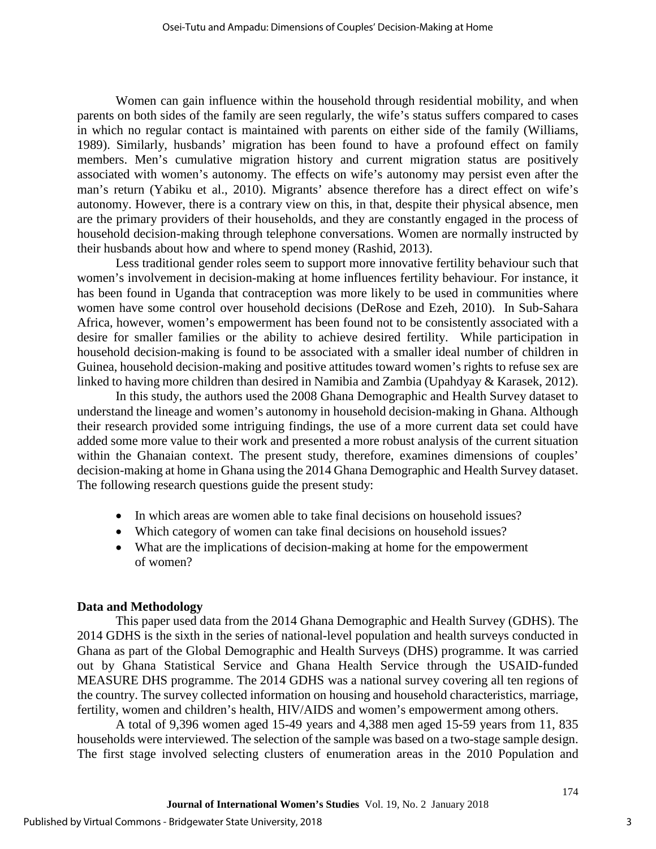Women can gain influence within the household through residential mobility, and when parents on both sides of the family are seen regularly, the wife's status suffers compared to cases in which no regular contact is maintained with parents on either side of the family (Williams, 1989). Similarly, husbands' migration has been found to have a profound effect on family members. Men's cumulative migration history and current migration status are positively associated with women's autonomy. The effects on wife's autonomy may persist even after the man's return (Yabiku et al., 2010). Migrants' absence therefore has a direct effect on wife's autonomy. However, there is a contrary view on this, in that, despite their physical absence, men are the primary providers of their households, and they are constantly engaged in the process of household decision-making through telephone conversations. Women are normally instructed by their husbands about how and where to spend money (Rashid, 2013).

Less traditional gender roles seem to support more innovative fertility behaviour such that women's involvement in decision-making at home influences fertility behaviour. For instance, it has been found in Uganda that contraception was more likely to be used in communities where women have some control over household decisions (DeRose and Ezeh, 2010). In Sub-Sahara Africa, however, women's empowerment has been found not to be consistently associated with a desire for smaller families or the ability to achieve desired fertility. While participation in household decision-making is found to be associated with a smaller ideal number of children in Guinea, household decision-making and positive attitudes toward women's rights to refuse sex are linked to having more children than desired in Namibia and Zambia (Upahdyay & Karasek, 2012).

In this study, the authors used the 2008 Ghana Demographic and Health Survey dataset to understand the lineage and women's autonomy in household decision-making in Ghana. Although their research provided some intriguing findings, the use of a more current data set could have added some more value to their work and presented a more robust analysis of the current situation within the Ghanaian context. The present study, therefore, examines dimensions of couples' decision-making at home in Ghana using the 2014 Ghana Demographic and Health Survey dataset. The following research questions guide the present study:

- In which areas are women able to take final decisions on household issues?
- Which category of women can take final decisions on household issues?
- What are the implications of decision-making at home for the empowerment of women?

## **Data and Methodology**

This paper used data from the 2014 Ghana Demographic and Health Survey (GDHS). The 2014 GDHS is the sixth in the series of national-level population and health surveys conducted in Ghana as part of the Global Demographic and Health Surveys (DHS) programme. It was carried out by Ghana Statistical Service and Ghana Health Service through the USAID-funded MEASURE DHS programme. The 2014 GDHS was a national survey covering all ten regions of the country. The survey collected information on housing and household characteristics, marriage, fertility, women and children's health, HIV/AIDS and women's empowerment among others.

A total of 9,396 women aged 15-49 years and 4,388 men aged 15-59 years from 11, 835 households were interviewed. The selection of the sample was based on a two-stage sample design. The first stage involved selecting clusters of enumeration areas in the 2010 Population and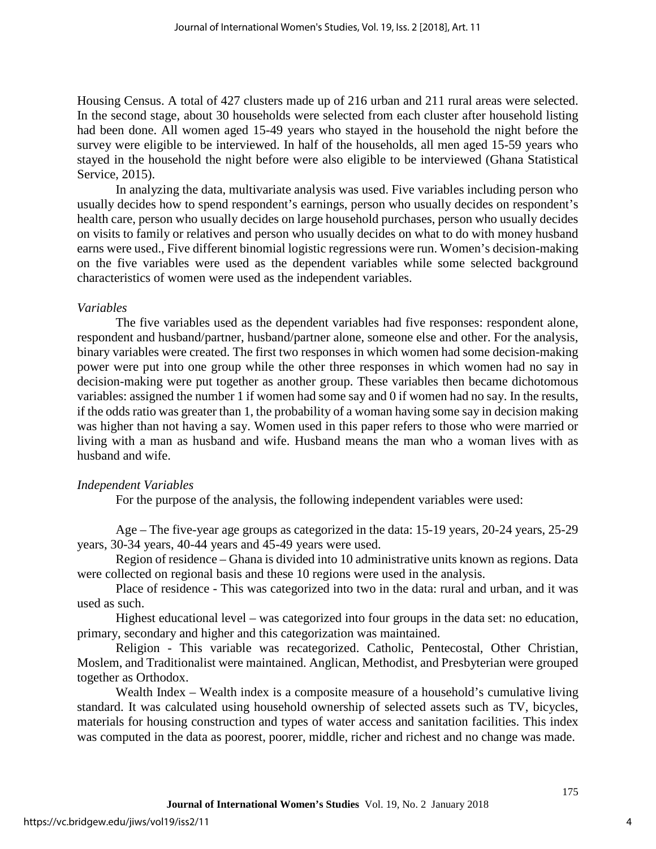Housing Census. A total of 427 clusters made up of 216 urban and 211 rural areas were selected. In the second stage, about 30 households were selected from each cluster after household listing had been done. All women aged 15-49 years who stayed in the household the night before the survey were eligible to be interviewed. In half of the households, all men aged 15-59 years who stayed in the household the night before were also eligible to be interviewed (Ghana Statistical Service, 2015).

In analyzing the data, multivariate analysis was used. Five variables including person who usually decides how to spend respondent's earnings, person who usually decides on respondent's health care, person who usually decides on large household purchases, person who usually decides on visits to family or relatives and person who usually decides on what to do with money husband earns were used., Five different binomial logistic regressions were run. Women's decision-making on the five variables were used as the dependent variables while some selected background characteristics of women were used as the independent variables.

### *Variables*

The five variables used as the dependent variables had five responses: respondent alone, respondent and husband/partner, husband/partner alone, someone else and other. For the analysis, binary variables were created. The first two responses in which women had some decision-making power were put into one group while the other three responses in which women had no say in decision-making were put together as another group. These variables then became dichotomous variables: assigned the number 1 if women had some say and 0 if women had no say. In the results, if the odds ratio was greater than 1, the probability of a woman having some say in decision making was higher than not having a say. Women used in this paper refers to those who were married or living with a man as husband and wife. Husband means the man who a woman lives with as husband and wife.

#### *Independent Variables*

For the purpose of the analysis, the following independent variables were used:

Age – The five-year age groups as categorized in the data: 15-19 years, 20-24 years, 25-29 years, 30-34 years, 40-44 years and 45-49 years were used.

Region of residence – Ghana is divided into 10 administrative units known as regions. Data were collected on regional basis and these 10 regions were used in the analysis.

Place of residence - This was categorized into two in the data: rural and urban, and it was used as such.

Highest educational level – was categorized into four groups in the data set: no education, primary, secondary and higher and this categorization was maintained.

Religion - This variable was recategorized. Catholic, Pentecostal, Other Christian, Moslem, and Traditionalist were maintained. Anglican, Methodist, and Presbyterian were grouped together as Orthodox.

Wealth Index – Wealth index is a composite measure of a household's cumulative living standard. It was calculated using household ownership of selected assets such as TV, bicycles, materials for housing construction and types of water access and sanitation facilities. This index was computed in the data as poorest, poorer, middle, richer and richest and no change was made.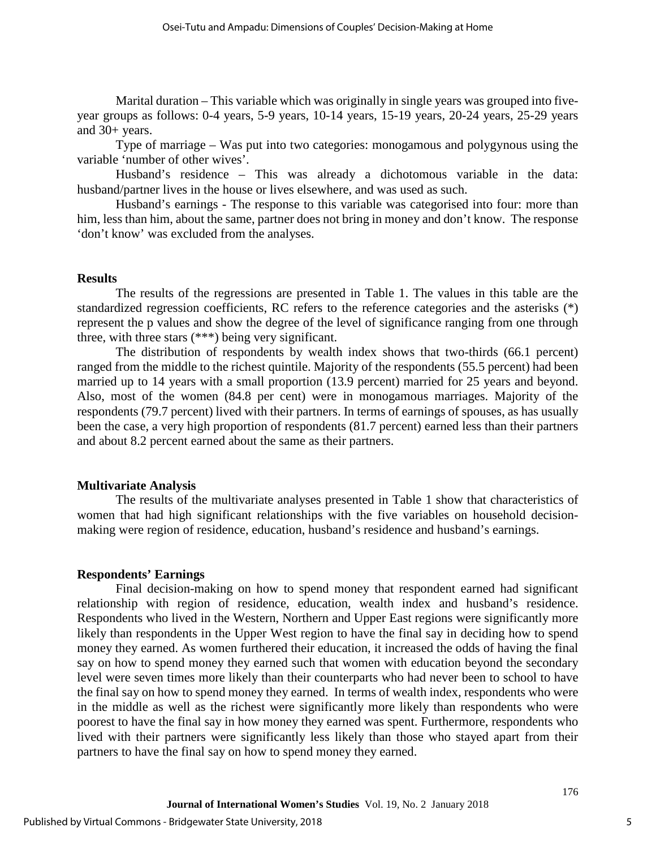Marital duration – This variable which was originally in single years was grouped into fiveyear groups as follows: 0-4 years, 5-9 years, 10-14 years, 15-19 years, 20-24 years, 25-29 years and 30+ years.

Type of marriage – Was put into two categories: monogamous and polygynous using the variable 'number of other wives'.

Husband's residence – This was already a dichotomous variable in the data: husband/partner lives in the house or lives elsewhere, and was used as such.

Husband's earnings - The response to this variable was categorised into four: more than him, less than him, about the same, partner does not bring in money and don't know. The response 'don't know' was excluded from the analyses.

#### **Results**

The results of the regressions are presented in Table 1. The values in this table are the standardized regression coefficients, RC refers to the reference categories and the asterisks (\*) represent the p values and show the degree of the level of significance ranging from one through three, with three stars (\*\*\*) being very significant.

The distribution of respondents by wealth index shows that two-thirds (66.1 percent) ranged from the middle to the richest quintile. Majority of the respondents (55.5 percent) had been married up to 14 years with a small proportion (13.9 percent) married for 25 years and beyond. Also, most of the women (84.8 per cent) were in monogamous marriages. Majority of the respondents (79.7 percent) lived with their partners. In terms of earnings of spouses, as has usually been the case, a very high proportion of respondents (81.7 percent) earned less than their partners and about 8.2 percent earned about the same as their partners.

#### **Multivariate Analysis**

The results of the multivariate analyses presented in Table 1 show that characteristics of women that had high significant relationships with the five variables on household decisionmaking were region of residence, education, husband's residence and husband's earnings.

#### **Respondents' Earnings**

Final decision-making on how to spend money that respondent earned had significant relationship with region of residence, education, wealth index and husband's residence. Respondents who lived in the Western, Northern and Upper East regions were significantly more likely than respondents in the Upper West region to have the final say in deciding how to spend money they earned. As women furthered their education, it increased the odds of having the final say on how to spend money they earned such that women with education beyond the secondary level were seven times more likely than their counterparts who had never been to school to have the final say on how to spend money they earned. In terms of wealth index, respondents who were in the middle as well as the richest were significantly more likely than respondents who were poorest to have the final say in how money they earned was spent. Furthermore, respondents who lived with their partners were significantly less likely than those who stayed apart from their partners to have the final say on how to spend money they earned.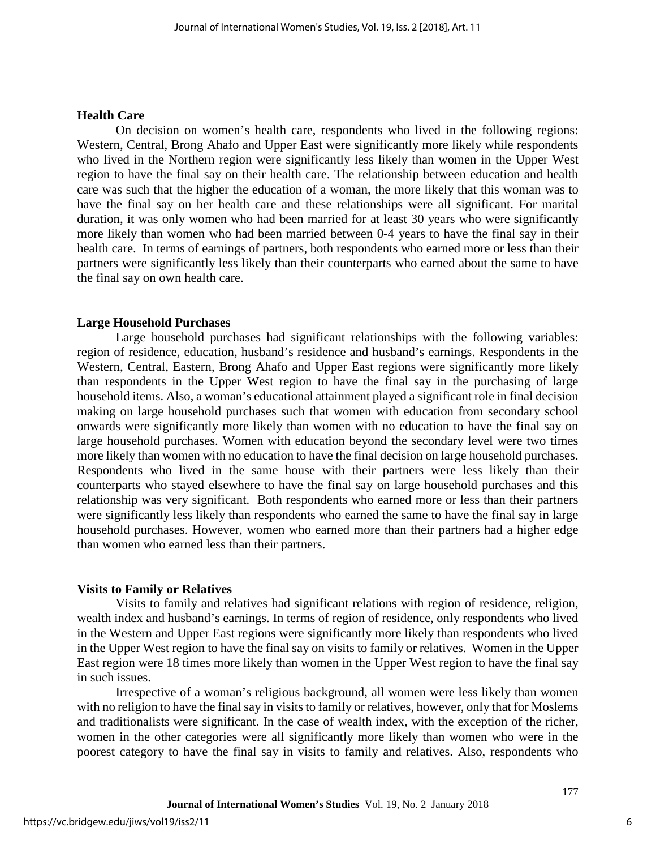#### **Health Care**

On decision on women's health care, respondents who lived in the following regions: Western, Central, Brong Ahafo and Upper East were significantly more likely while respondents who lived in the Northern region were significantly less likely than women in the Upper West region to have the final say on their health care. The relationship between education and health care was such that the higher the education of a woman, the more likely that this woman was to have the final say on her health care and these relationships were all significant. For marital duration, it was only women who had been married for at least 30 years who were significantly more likely than women who had been married between 0-4 years to have the final say in their health care. In terms of earnings of partners, both respondents who earned more or less than their partners were significantly less likely than their counterparts who earned about the same to have the final say on own health care.

#### **Large Household Purchases**

Large household purchases had significant relationships with the following variables: region of residence, education, husband's residence and husband's earnings. Respondents in the Western, Central, Eastern, Brong Ahafo and Upper East regions were significantly more likely than respondents in the Upper West region to have the final say in the purchasing of large household items. Also, a woman's educational attainment played a significant role in final decision making on large household purchases such that women with education from secondary school onwards were significantly more likely than women with no education to have the final say on large household purchases. Women with education beyond the secondary level were two times more likely than women with no education to have the final decision on large household purchases. Respondents who lived in the same house with their partners were less likely than their counterparts who stayed elsewhere to have the final say on large household purchases and this relationship was very significant. Both respondents who earned more or less than their partners were significantly less likely than respondents who earned the same to have the final say in large household purchases. However, women who earned more than their partners had a higher edge than women who earned less than their partners.

#### **Visits to Family or Relatives**

Visits to family and relatives had significant relations with region of residence, religion, wealth index and husband's earnings. In terms of region of residence, only respondents who lived in the Western and Upper East regions were significantly more likely than respondents who lived in the Upper West region to have the final say on visits to family or relatives. Women in the Upper East region were 18 times more likely than women in the Upper West region to have the final say in such issues.

Irrespective of a woman's religious background, all women were less likely than women with no religion to have the final say in visits to family or relatives, however, only that for Moslems and traditionalists were significant. In the case of wealth index, with the exception of the richer, women in the other categories were all significantly more likely than women who were in the poorest category to have the final say in visits to family and relatives. Also, respondents who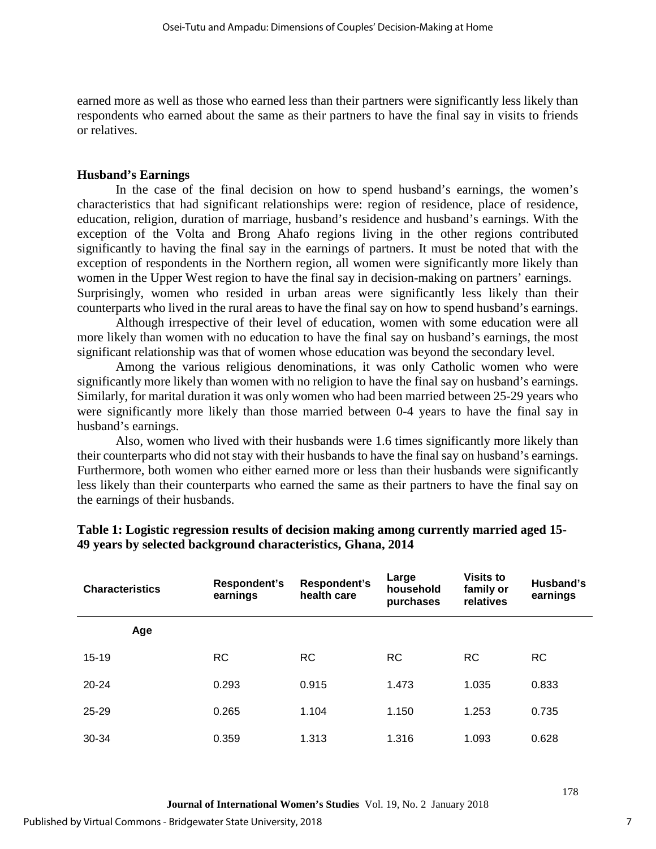earned more as well as those who earned less than their partners were significantly less likely than respondents who earned about the same as their partners to have the final say in visits to friends or relatives.

### **Husband's Earnings**

In the case of the final decision on how to spend husband's earnings, the women's characteristics that had significant relationships were: region of residence, place of residence, education, religion, duration of marriage, husband's residence and husband's earnings. With the exception of the Volta and Brong Ahafo regions living in the other regions contributed significantly to having the final say in the earnings of partners. It must be noted that with the exception of respondents in the Northern region, all women were significantly more likely than women in the Upper West region to have the final say in decision-making on partners' earnings. Surprisingly, women who resided in urban areas were significantly less likely than their counterparts who lived in the rural areas to have the final say on how to spend husband's earnings.

Although irrespective of their level of education, women with some education were all more likely than women with no education to have the final say on husband's earnings, the most significant relationship was that of women whose education was beyond the secondary level.

Among the various religious denominations, it was only Catholic women who were significantly more likely than women with no religion to have the final say on husband's earnings. Similarly, for marital duration it was only women who had been married between 25-29 years who were significantly more likely than those married between 0-4 years to have the final say in husband's earnings.

Also, women who lived with their husbands were 1.6 times significantly more likely than their counterparts who did not stay with their husbands to have the final say on husband's earnings. Furthermore, both women who either earned more or less than their husbands were significantly less likely than their counterparts who earned the same as their partners to have the final say on the earnings of their husbands.

| <b>Characteristics</b> | Respondent's<br>earnings | Respondent's<br>health care | Large<br>household<br>purchases | <b>Visits to</b><br>family or<br>relatives | Husband's<br>earnings |
|------------------------|--------------------------|-----------------------------|---------------------------------|--------------------------------------------|-----------------------|
| Age                    |                          |                             |                                 |                                            |                       |
| $15 - 19$              | <b>RC</b>                | <b>RC</b>                   | <b>RC</b>                       | <b>RC</b>                                  | <b>RC</b>             |
| $20 - 24$              | 0.293                    | 0.915                       | 1.473                           | 1.035                                      | 0.833                 |
| $25 - 29$              | 0.265                    | 1.104                       | 1.150                           | 1.253                                      | 0.735                 |
| 30-34                  | 0.359                    | 1.313                       | 1.316                           | 1.093                                      | 0.628                 |

## **Table 1: Logistic regression results of decision making among currently married aged 15- 49 years by selected background characteristics, Ghana, 2014**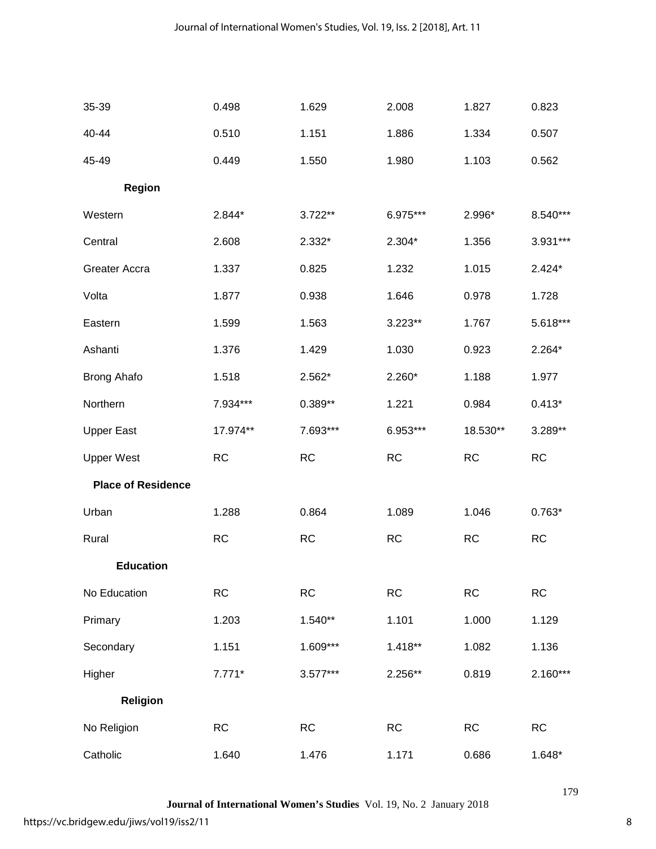| 35-39                     | 0.498     | 1.629     | 2.008     | 1.827     | 0.823      |
|---------------------------|-----------|-----------|-----------|-----------|------------|
| 40-44                     | 0.510     | 1.151     | 1.886     | 1.334     | 0.507      |
| 45-49                     | 0.449     | 1.550     | 1.980     | 1.103     | 0.562      |
| <b>Region</b>             |           |           |           |           |            |
| Western                   | 2.844*    | 3.722**   | 6.975***  | 2.996*    | 8.540***   |
| Central                   | 2.608     | 2.332*    | 2.304*    | 1.356     | 3.931***   |
| Greater Accra             | 1.337     | 0.825     | 1.232     | 1.015     | $2.424*$   |
| Volta                     | 1.877     | 0.938     | 1.646     | 0.978     | 1.728      |
| Eastern                   | 1.599     | 1.563     | 3.223**   | 1.767     | 5.618***   |
| Ashanti                   | 1.376     | 1.429     | 1.030     | 0.923     | $2.264*$   |
| <b>Brong Ahafo</b>        | 1.518     | 2.562*    | $2.260*$  | 1.188     | 1.977      |
| Northern                  | 7.934***  | 0.389**   | 1.221     | 0.984     | $0.413*$   |
| <b>Upper East</b>         | 17.974**  | 7.693***  | 6.953***  | 18.530**  | 3.289**    |
| <b>Upper West</b>         | RC        | <b>RC</b> | <b>RC</b> | <b>RC</b> | RC         |
| <b>Place of Residence</b> |           |           |           |           |            |
| Urban                     | 1.288     | 0.864     | 1.089     | 1.046     | $0.763*$   |
| Rural                     | <b>RC</b> | RC        | RC        | RC        | <b>RC</b>  |
| <b>Education</b>          |           |           |           |           |            |
| No Education              | RC        | RC        | RC        | RC        | RC         |
| Primary                   | 1.203     | 1.540**   | 1.101     | 1.000     | 1.129      |
| Secondary                 | 1.151     | 1.609***  | $1.418**$ | 1.082     | 1.136      |
| Higher                    | $7.771*$  | 3.577***  | 2.256**   | 0.819     | $2.160***$ |
| <b>Religion</b>           |           |           |           |           |            |
| No Religion               | <b>RC</b> | RC        | <b>RC</b> | <b>RC</b> | <b>RC</b>  |
| Catholic                  | 1.640     | 1.476     | 1.171     | 0.686     | 1.648*     |

**Journal of International Women's Studies** Vol. 19, No. 2 January 2018

8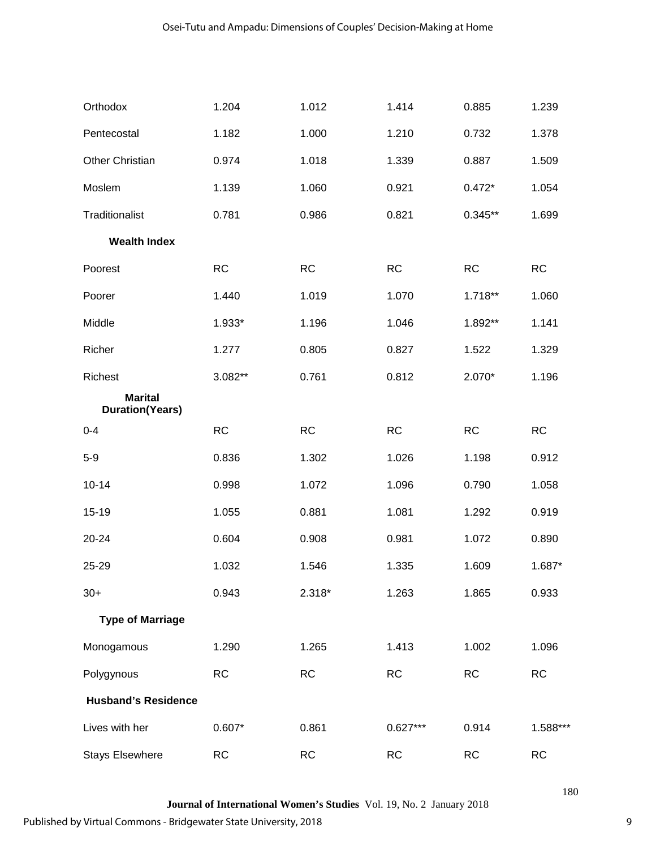| Orthodox                                 | 1.204     | 1.012     | 1.414      | 0.885     | 1.239     |
|------------------------------------------|-----------|-----------|------------|-----------|-----------|
| Pentecostal                              | 1.182     | 1.000     | 1.210      | 0.732     | 1.378     |
| Other Christian                          | 0.974     | 1.018     | 1.339      | 0.887     | 1.509     |
| Moslem                                   | 1.139     | 1.060     | 0.921      | $0.472*$  | 1.054     |
| Traditionalist                           | 0.781     | 0.986     | 0.821      | $0.345**$ | 1.699     |
| <b>Wealth Index</b>                      |           |           |            |           |           |
| Poorest                                  | <b>RC</b> | RC        | <b>RC</b>  | <b>RC</b> | <b>RC</b> |
| Poorer                                   | 1.440     | 1.019     | 1.070      | 1.718**   | 1.060     |
| Middle                                   | 1.933*    | 1.196     | 1.046      | 1.892**   | 1.141     |
| Richer                                   | 1.277     | 0.805     | 0.827      | 1.522     | 1.329     |
| Richest                                  | 3.082**   | 0.761     | 0.812      | $2.070*$  | 1.196     |
| <b>Marital</b><br><b>Duration(Years)</b> |           |           |            |           |           |
| $0 - 4$                                  | RC        | <b>RC</b> | <b>RC</b>  | <b>RC</b> | <b>RC</b> |
| $5-9$                                    | 0.836     | 1.302     | 1.026      | 1.198     | 0.912     |
| $10 - 14$                                | 0.998     | 1.072     | 1.096      | 0.790     | 1.058     |
| 15-19                                    | 1.055     | 0.881     | 1.081      | 1.292     | 0.919     |
| 20-24                                    | 0.604     | 0.908     | 0.981      | 1.072     | 0.890     |
| 25-29                                    | 1.032     | 1.546     | 1.335      | 1.609     | 1.687*    |
| $30+$                                    | 0.943     | $2.318*$  | 1.263      | 1.865     | 0.933     |
| <b>Type of Marriage</b>                  |           |           |            |           |           |
| Monogamous                               | 1.290     | 1.265     | 1.413      | 1.002     | 1.096     |
| Polygynous                               | <b>RC</b> | <b>RC</b> | <b>RC</b>  | <b>RC</b> | <b>RC</b> |
| <b>Husband's Residence</b>               |           |           |            |           |           |
| Lives with her                           | $0.607*$  | 0.861     | $0.627***$ | 0.914     | 1.588***  |
| <b>Stays Elsewhere</b>                   | <b>RC</b> | <b>RC</b> | <b>RC</b>  | <b>RC</b> | <b>RC</b> |

**Journal of International Women's Studies** Vol. 19, No. 2 January 2018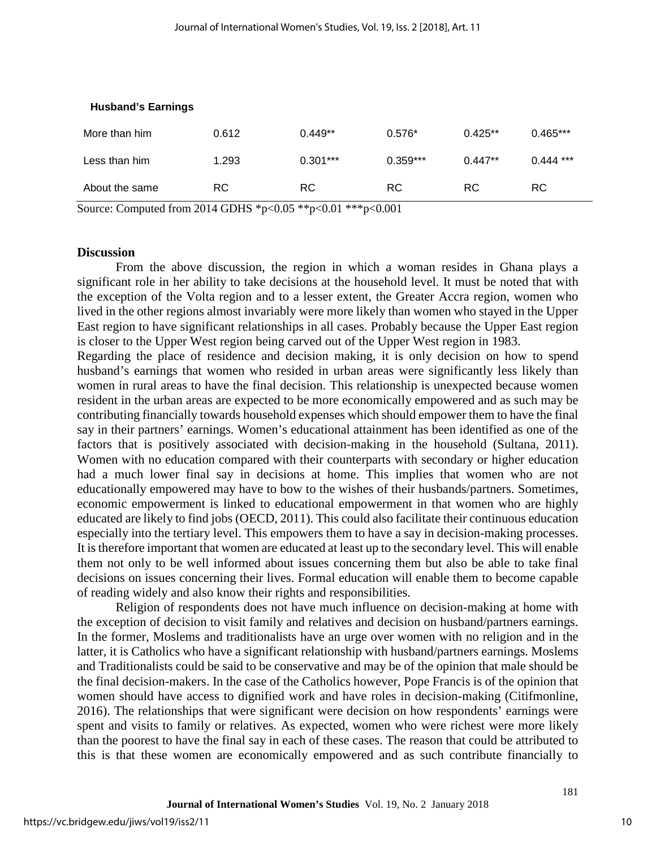| More than him  | 0.612 | $0.449**$  | $0.576*$   | $0.425**$ | $0.465***$  |
|----------------|-------|------------|------------|-----------|-------------|
| Less than him  | 1.293 | $0.301***$ | $0.359***$ | $0.447**$ | $0.444$ *** |
| About the same | RC.   | RC.        | RC.        | RC.       | RC.         |

#### **Husband's Earnings**

Source: Computed from 2014 GDHS \*p<0.05 \*\*p<0.01 \*\*\*p<0.001

## **Discussion**

From the above discussion, the region in which a woman resides in Ghana plays a significant role in her ability to take decisions at the household level. It must be noted that with the exception of the Volta region and to a lesser extent, the Greater Accra region, women who lived in the other regions almost invariably were more likely than women who stayed in the Upper East region to have significant relationships in all cases. Probably because the Upper East region is closer to the Upper West region being carved out of the Upper West region in 1983.

Regarding the place of residence and decision making, it is only decision on how to spend husband's earnings that women who resided in urban areas were significantly less likely than women in rural areas to have the final decision. This relationship is unexpected because women resident in the urban areas are expected to be more economically empowered and as such may be contributing financially towards household expenses which should empower them to have the final say in their partners' earnings. Women's educational attainment has been identified as one of the factors that is positively associated with decision-making in the household (Sultana, 2011). Women with no education compared with their counterparts with secondary or higher education had a much lower final say in decisions at home. This implies that women who are not educationally empowered may have to bow to the wishes of their husbands/partners. Sometimes, economic empowerment is linked to educational empowerment in that women who are highly educated are likely to find jobs (OECD, 2011). This could also facilitate their continuous education especially into the tertiary level. This empowers them to have a say in decision-making processes. It is therefore important that women are educated at least up to the secondary level. This will enable them not only to be well informed about issues concerning them but also be able to take final decisions on issues concerning their lives. Formal education will enable them to become capable of reading widely and also know their rights and responsibilities.

Religion of respondents does not have much influence on decision-making at home with the exception of decision to visit family and relatives and decision on husband/partners earnings. In the former, Moslems and traditionalists have an urge over women with no religion and in the latter, it is Catholics who have a significant relationship with husband/partners earnings. Moslems and Traditionalists could be said to be conservative and may be of the opinion that male should be the final decision-makers. In the case of the Catholics however, Pope Francis is of the opinion that women should have access to dignified work and have roles in decision-making (Citifmonline, 2016). The relationships that were significant were decision on how respondents' earnings were spent and visits to family or relatives. As expected, women who were richest were more likely than the poorest to have the final say in each of these cases. The reason that could be attributed to this is that these women are economically empowered and as such contribute financially to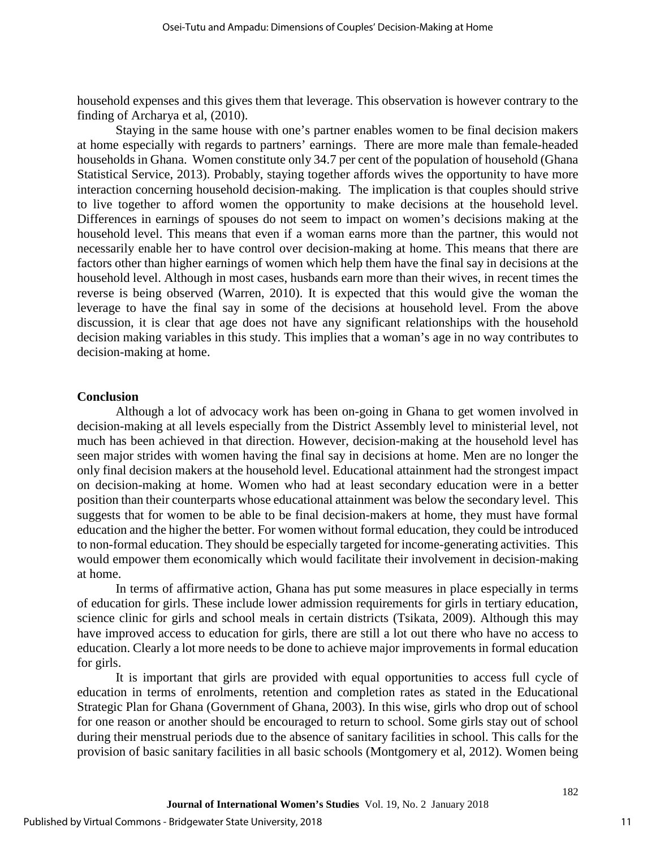household expenses and this gives them that leverage. This observation is however contrary to the finding of Archarya et al, (2010).

Staying in the same house with one's partner enables women to be final decision makers at home especially with regards to partners' earnings. There are more male than female-headed households in Ghana. Women constitute only 34.7 per cent of the population of household (Ghana Statistical Service, 2013). Probably, staying together affords wives the opportunity to have more interaction concerning household decision-making. The implication is that couples should strive to live together to afford women the opportunity to make decisions at the household level. Differences in earnings of spouses do not seem to impact on women's decisions making at the household level. This means that even if a woman earns more than the partner, this would not necessarily enable her to have control over decision-making at home. This means that there are factors other than higher earnings of women which help them have the final say in decisions at the household level. Although in most cases, husbands earn more than their wives, in recent times the reverse is being observed (Warren, 2010). It is expected that this would give the woman the leverage to have the final say in some of the decisions at household level. From the above discussion, it is clear that age does not have any significant relationships with the household decision making variables in this study. This implies that a woman's age in no way contributes to decision-making at home.

#### **Conclusion**

Although a lot of advocacy work has been on-going in Ghana to get women involved in decision-making at all levels especially from the District Assembly level to ministerial level, not much has been achieved in that direction. However, decision-making at the household level has seen major strides with women having the final say in decisions at home. Men are no longer the only final decision makers at the household level. Educational attainment had the strongest impact on decision-making at home. Women who had at least secondary education were in a better position than their counterparts whose educational attainment was below the secondary level. This suggests that for women to be able to be final decision-makers at home, they must have formal education and the higher the better. For women without formal education, they could be introduced to non-formal education. They should be especially targeted for income-generating activities. This would empower them economically which would facilitate their involvement in decision-making at home.

In terms of affirmative action, Ghana has put some measures in place especially in terms of education for girls. These include lower admission requirements for girls in tertiary education, science clinic for girls and school meals in certain districts (Tsikata, 2009). Although this may have improved access to education for girls, there are still a lot out there who have no access to education. Clearly a lot more needs to be done to achieve major improvements in formal education for girls.

It is important that girls are provided with equal opportunities to access full cycle of education in terms of enrolments, retention and completion rates as stated in the Educational Strategic Plan for Ghana (Government of Ghana, 2003). In this wise, girls who drop out of school for one reason or another should be encouraged to return to school. Some girls stay out of school during their menstrual periods due to the absence of sanitary facilities in school. This calls for the provision of basic sanitary facilities in all basic schools (Montgomery et al, 2012). Women being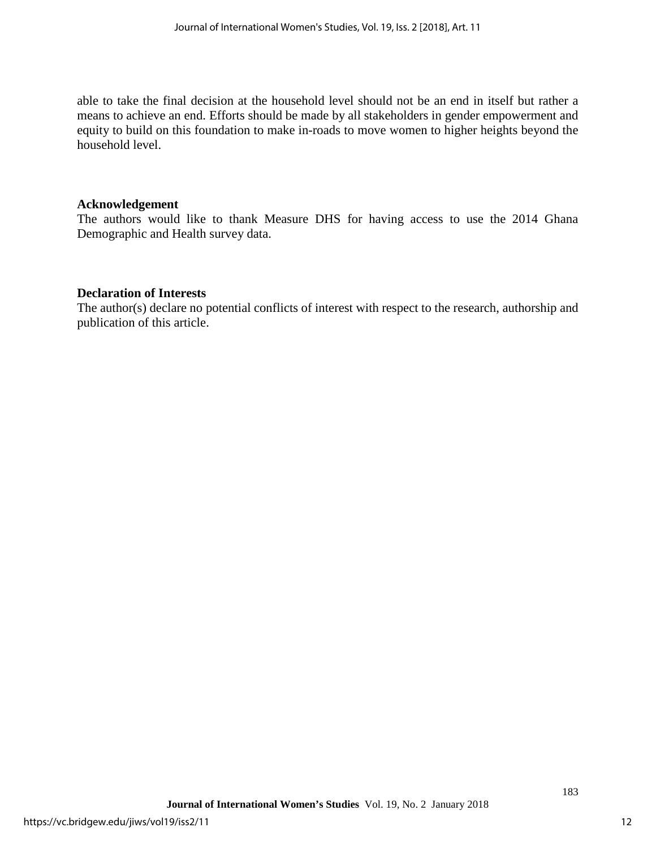able to take the final decision at the household level should not be an end in itself but rather a means to achieve an end. Efforts should be made by all stakeholders in gender empowerment and equity to build on this foundation to make in-roads to move women to higher heights beyond the household level.

## **Acknowledgement**

The authors would like to thank Measure DHS for having access to use the 2014 Ghana Demographic and Health survey data.

## **Declaration of Interests**

The author(s) declare no potential conflicts of interest with respect to the research, authorship and publication of this article.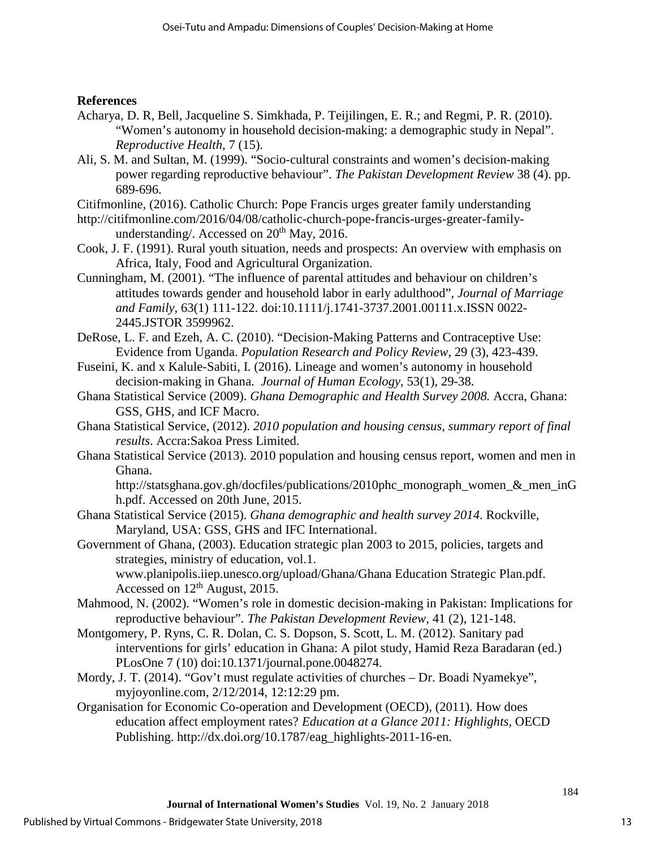## **References**

- Acharya, D. R, Bell, Jacqueline S. Simkhada, P. Teijilingen, E. R.; and Regmi, P. R. (2010). "Women's autonomy in household decision-making: a demographic study in Nepal". *Reproductive Health,* 7 (15).
- Ali, S. M. and Sultan, M. (1999). "Socio-cultural constraints and women's decision-making power regarding reproductive behaviour". *The Pakistan Development Review* 38 (4). pp. 689-696.
- Citifmonline, (2016). Catholic Church: Pope Francis urges greater family understanding
- http://citifmonline.com/2016/04/08/catholic-church-pope-francis-urges-greater-familyunderstanding/. Accessed on  $20<sup>th</sup>$  May, 2016.
- Cook, J. F. (1991). Rural youth situation, needs and prospects: An overview with emphasis on Africa, Italy, Food and Agricultural Organization.
- Cunningham, M. (2001). "The influence of parental attitudes and behaviour on children's attitudes towards gender and household labor in early adulthood", *Journal of Marriage and Family*, 63(1) 111-122. doi:10.1111/j.1741-3737.2001.00111.x.ISSN 0022- 2445.JSTOR 3599962.
- DeRose, L. F. and Ezeh, A. C. (2010). "Decision-Making Patterns and Contraceptive Use: Evidence from Uganda. *Population Research and Policy Review*, 29 (3), 423-439.
- Fuseini, K. and x Kalule-Sabiti, I. (2016). Lineage and women's autonomy in household decision-making in Ghana. *Journal of Human Ecology*, 53(1), 29-38.
- Ghana Statistical Service (2009). *Ghana Demographic and Health Survey 2008.* Accra, Ghana: GSS, GHS, and ICF Macro.
- Ghana Statistical Service, (2012). *2010 population and housing census, summary report of final results*. Accra:Sakoa Press Limited.
- Ghana Statistical Service (2013). 2010 population and housing census report, women and men in Ghana.

http://statsghana.gov.gh/docfiles/publications/2010phc\_monograph\_women\_&\_men\_inG h.pdf. Accessed on 20th June, 2015.

- Ghana Statistical Service (2015). *Ghana demographic and health survey 2014*. Rockville, Maryland, USA: GSS, GHS and IFC International.
- Government of Ghana, (2003). Education strategic plan 2003 to 2015, policies, targets and strategies, ministry of education, vol.1. www.planipolis.iiep.unesco.org/upload/Ghana/Ghana Education Strategic Plan.pdf. Accessed on 12th August, 2015.
- Mahmood, N. (2002). "Women's role in domestic decision-making in Pakistan: Implications for reproductive behaviour". *The Pakistan Development Review,* 41 (2), 121-148.
- Montgomery, P. Ryns, C. R. Dolan, C. S. Dopson, S. Scott, L. M. (2012). Sanitary pad interventions for girls' education in Ghana: A pilot study, Hamid Reza Baradaran (ed.) PLosOne 7 (10) doi:10.1371/journal.pone.0048274.
- Mordy, J. T. (2014). "Gov't must regulate activities of churches Dr. Boadi Nyamekye", myjoyonline.com, 2/12/2014, 12:12:29 pm.
- Organisation for Economic Co-operation and Development (OECD), (2011). How does education affect employment rates? *Education at a Glance 2011: Highlights,* OECD Publishing. http://dx.doi.org/10.1787/eag\_highlights-2011-16-en.